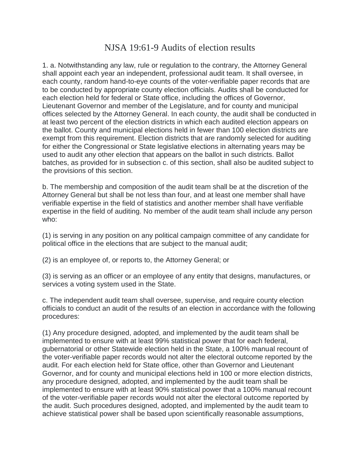## NJSA 19:61-9 Audits of election results

1. a. Notwithstanding any law, rule or regulation to the contrary, the Attorney General shall appoint each year an independent, professional audit team. It shall oversee, in each county, random hand-to-eye counts of the voter-verifiable paper records that are to be conducted by appropriate county election officials. Audits shall be conducted for each election held for federal or State office, including the offices of Governor, Lieutenant Governor and member of the Legislature, and for county and municipal offices selected by the Attorney General. In each county, the audit shall be conducted in at least two percent of the election districts in which each audited election appears on the ballot. County and municipal elections held in fewer than 100 election districts are exempt from this requirement. Election districts that are randomly selected for auditing for either the Congressional or State legislative elections in alternating years may be used to audit any other election that appears on the ballot in such districts. Ballot batches, as provided for in subsection c. of this section, shall also be audited subject to the provisions of this section.

b. The membership and composition of the audit team shall be at the discretion of the Attorney General but shall be not less than four, and at least one member shall have verifiable expertise in the field of statistics and another member shall have verifiable expertise in the field of auditing. No member of the audit team shall include any person who:

(1) is serving in any position on any political campaign committee of any candidate for political office in the elections that are subject to the manual audit;

(2) is an employee of, or reports to, the Attorney General; or

(3) is serving as an officer or an employee of any entity that designs, manufactures, or services a voting system used in the State.

c. The independent audit team shall oversee, supervise, and require county election officials to conduct an audit of the results of an election in accordance with the following procedures:

(1) Any procedure designed, adopted, and implemented by the audit team shall be implemented to ensure with at least 99% statistical power that for each federal, gubernatorial or other Statewide election held in the State, a 100% manual recount of the voter-verifiable paper records would not alter the electoral outcome reported by the audit. For each election held for State office, other than Governor and Lieutenant Governor, and for county and municipal elections held in 100 or more election districts, any procedure designed, adopted, and implemented by the audit team shall be implemented to ensure with at least 90% statistical power that a 100% manual recount of the voter-verifiable paper records would not alter the electoral outcome reported by the audit. Such procedures designed, adopted, and implemented by the audit team to achieve statistical power shall be based upon scientifically reasonable assumptions,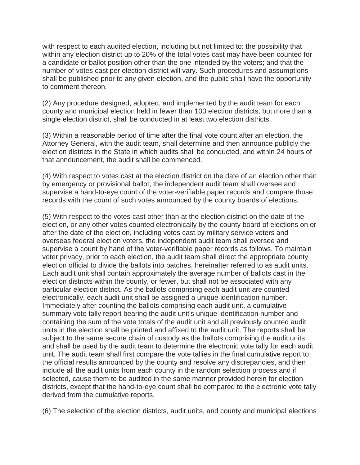with respect to each audited election, including but not limited to: the possibility that within any election district up to 20% of the total votes cast may have been counted for a candidate or ballot position other than the one intended by the voters; and that the number of votes cast per election district will vary. Such procedures and assumptions shall be published prior to any given election, and the public shall have the opportunity to comment thereon.

(2) Any procedure designed, adopted, and implemented by the audit team for each county and municipal election held in fewer than 100 election districts, but more than a single election district, shall be conducted in at least two election districts.

(3) Within a reasonable period of time after the final vote count after an election, the Attorney General, with the audit team, shall determine and then announce publicly the election districts in the State in which audits shall be conducted, and within 24 hours of that announcement, the audit shall be commenced.

(4) With respect to votes cast at the election district on the date of an election other than by emergency or provisional ballot, the independent audit team shall oversee and supervise a hand-to-eye count of the voter-verifiable paper records and compare those records with the count of such votes announced by the county boards of elections.

(5) With respect to the votes cast other than at the election district on the date of the election, or any other votes counted electronically by the county board of elections on or after the date of the election, including votes cast by military service voters and overseas federal election voters, the independent audit team shall oversee and supervise a count by hand of the voter-verifiable paper records as follows. To maintain voter privacy, prior to each election, the audit team shall direct the appropriate county election official to divide the ballots into batches, hereinafter referred to as audit units. Each audit unit shall contain approximately the average number of ballots cast in the election districts within the county, or fewer, but shall not be associated with any particular election district. As the ballots comprising each audit unit are counted electronically, each audit unit shall be assigned a unique identification number. Immediately after counting the ballots comprising each audit unit, a cumulative summary vote tally report bearing the audit unit's unique identification number and containing the sum of the vote totals of the audit unit and all previously counted audit units in the election shall be printed and affixed to the audit unit. The reports shall be subject to the same secure chain of custody as the ballots comprising the audit units and shall be used by the audit team to determine the electronic vote tally for each audit unit. The audit team shall first compare the vote tallies in the final cumulative report to the official results announced by the county and resolve any discrepancies, and then include all the audit units from each county in the random selection process and if selected, cause them to be audited in the same manner provided herein for election districts, except that the hand-to-eye count shall be compared to the electronic vote tally derived from the cumulative reports.

(6) The selection of the election districts, audit units, and county and municipal elections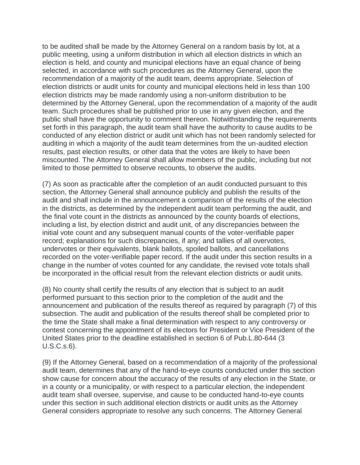to be audited shall be made by the Attorney General on a random basis by lot, at a public meeting, using a uniform distribution in which all election districts in which an election is held, and county and municipal elections have an equal chance of being selected, in accordance with such procedures as the Attorney General, upon the recommendation of a majority of the audit team, deems appropriate. Selection of election districts or audit units for county and municipal elections held in less than 100 election districts may be made randomly using a non-uniform distribution to be determined by the Attorney General, upon the recommendation of a majority of the audit team. Such procedures shall be published prior to use in any given election, and the public shall have the opportunity to comment thereon. Notwithstanding the requirements set forth in this paragraph, the audit team shall have the authority to cause audits to be conducted of any election district or audit unit which has not been randomly selected for auditing in which a majority of the audit team determines from the un-audited election results, past election results, or other data that the votes are likely to have been miscounted. The Attorney General shall allow members of the public, including but not limited to those permitted to observe recounts, to observe the audits.

(7) As soon as practicable after the completion of an audit conducted pursuant to this section, the Attorney General shall announce publicly and publish the results of the audit and shall include in the announcement a comparison of the results of the election in the districts, as determined by the independent audit team performing the audit, and the final vote count in the districts as announced by the county boards of elections, including a list, by election district and audit unit, of any discrepancies between the initial vote count and any subsequent manual counts of the voter-verifiable paper record; explanations for such discrepancies, if any; and tallies of all overvotes, undervotes or their equivalents, blank ballots, spoiled ballots, and cancellations recorded on the voter-verifiable paper record. If the audit under this section results in a change in the number of votes counted for any candidate, the revised vote totals shall be incorporated in the official result from the relevant election districts or audit units.

(8) No county shall certify the results of any election that is subject to an audit performed pursuant to this section prior to the completion of the audit and the announcement and publication of the results thereof as required by paragraph (7) of this subsection. The audit and publication of the results thereof shall be completed prior to the time the State shall make a final determination with respect to any controversy or contest concerning the appointment of its electors for President or Vice President of the United States prior to the deadline established in section 6 of Pub.L.80-644 (3 U.S.C.s.6).

(9) If the Attorney General, based on a recommendation of a majority of the professional audit team, determines that any of the hand-to-eye counts conducted under this section show cause for concern about the accuracy of the results of any election in the State, or in a county or a municipality, or with respect to a particular election, the independent audit team shall oversee, supervise, and cause to be conducted hand-to-eye counts under this section in such additional election districts or audit units as the Attorney General considers appropriate to resolve any such concerns. The Attorney General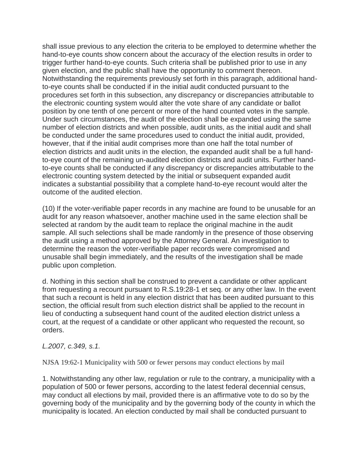shall issue previous to any election the criteria to be employed to determine whether the hand-to-eye counts show concern about the accuracy of the election results in order to trigger further hand-to-eye counts. Such criteria shall be published prior to use in any given election, and the public shall have the opportunity to comment thereon. Notwithstanding the requirements previously set forth in this paragraph, additional handto-eye counts shall be conducted if in the initial audit conducted pursuant to the procedures set forth in this subsection, any discrepancy or discrepancies attributable to the electronic counting system would alter the vote share of any candidate or ballot position by one tenth of one percent or more of the hand counted votes in the sample. Under such circumstances, the audit of the election shall be expanded using the same number of election districts and when possible, audit units, as the initial audit and shall be conducted under the same procedures used to conduct the initial audit, provided, however, that if the initial audit comprises more than one half the total number of election districts and audit units in the election, the expanded audit shall be a full handto-eye count of the remaining un-audited election districts and audit units. Further handto-eye counts shall be conducted if any discrepancy or discrepancies attributable to the electronic counting system detected by the initial or subsequent expanded audit indicates a substantial possibility that a complete hand-to-eye recount would alter the outcome of the audited election.

(10) If the voter-verifiable paper records in any machine are found to be unusable for an audit for any reason whatsoever, another machine used in the same election shall be selected at random by the audit team to replace the original machine in the audit sample. All such selections shall be made randomly in the presence of those observing the audit using a method approved by the Attorney General. An investigation to determine the reason the voter-verifiable paper records were compromised and unusable shall begin immediately, and the results of the investigation shall be made public upon completion.

d. Nothing in this section shall be construed to prevent a candidate or other applicant from requesting a recount pursuant to R.S.19:28-1 et seq. or any other law. In the event that such a recount is held in any election district that has been audited pursuant to this section, the official result from such election district shall be applied to the recount in lieu of conducting a subsequent hand count of the audited election district unless a court, at the request of a candidate or other applicant who requested the recount, so orders.

*L.2007, c.349, s.1.*

NJSA 19:62-1 Municipality with 500 or fewer persons may conduct elections by mail

1. Notwithstanding any other law, regulation or rule to the contrary, a municipality with a population of 500 or fewer persons, according to the latest federal decennial census, may conduct all elections by mail, provided there is an affirmative vote to do so by the governing body of the municipality and by the governing body of the county in which the municipality is located. An election conducted by mail shall be conducted pursuant to